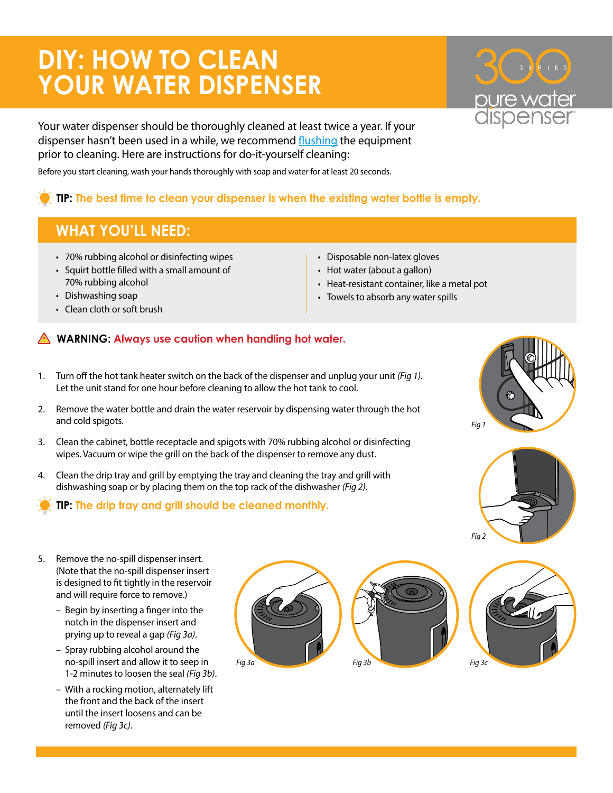## **DIY: HOW TO CLEAN YOUR WATER DISPENSER**

®

Your water dispenser should be thoroughly cleaned at least twice a year. If your dispenser hasn't been used in a while, we recommend [flushing](https://www.water.com/files/nonbrand/equipmentdocs/equipment_flushing_instructions.pdf) the equipment prior to cleaning. Here are instructions for do-it-yourself cleaning:

Before you start cleaning, wash your hands thoroughly with soap and water for at least 20 seconds.

## **TIP: The best time to clean your dispenser is when the existing water bottle is empty.**

## **WHAT YOU'LL NEED:**

- 70% rubbing alcohol or disinfecting wipes
- Squirt bottle filled with a small amount of 70% rubbing alcohol
- Dishwashing soap
- Clean cloth or soft brush
- Disposable non-latex gloves
- Hot water (about a gallon)
- Heat-resistant container, like a metal pot
- Towels to absorb any water spills

## **WARNING: Always use caution when handling hot water.**

- 1. Turn off the hot tank heater switch on the back of the dispenser and unplug your unit *(Fig 1)*. Let the unit stand for one hour before cleaning to allow the hot tank to cool.
- 2. Remove the water bottle and drain the water reservoir by dispensing water through the hot and cold spigots.
- 3. Clean the cabinet, bottle receptacle and spigots with 70% rubbing alcohol or disinfecting wipes. Vacuum or wipe the grill on the back of the dispenser to remove any dust.
- 4. Clean the drip tray and grill by emptying the tray and cleaning the tray and grill with dishwashing soap or by placing them on the top rack of the dishwasher *(Fig 2)*.
	- **TIP: The drip tray and grill should be cleaned monthly.**





- 5. Remove the no-spill dispenser insert. (Note that the no-spill dispenser insert is designed to fit tightly in the reservoir and will require force to remove.)
	- Begin by inserting a finger into the notch in the dispenser insert and prying up to reveal a gap *(Fig 3a)*.
	- Spray rubbing alcohol around the no-spill insert and allow it to seep in 1-2 minutes to loosen the seal *(Fig 3b)*.
	- With a rocking motion, alternately lift the front and the back of the insert until the insert loosens and can be removed *(Fig 3c)*.